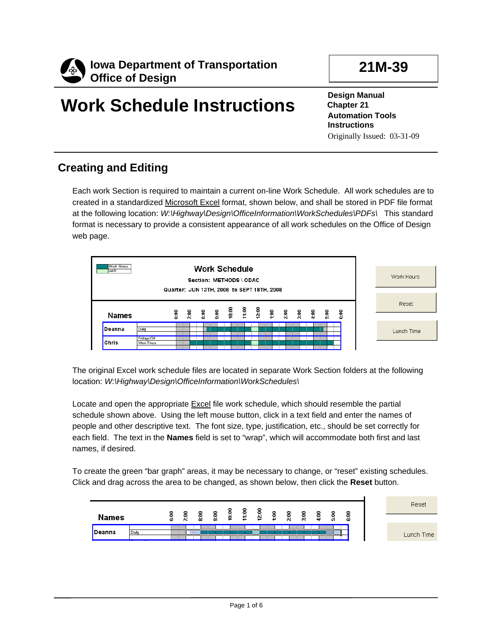

# **Work Schedule Instructions**

**21M-39** 

**Design Manual Chapter 21 Automation Tools Instructions**  Originally Issued: 03-31-09

# **Creating and Editing**

Each work Section is required to maintain a current on-line Work Schedule. All work schedules are to created in a standardized Microsoft Excel format, shown below, and shall be stored in PDF file format at the following location: *W:\Highway\Design\OfficeInformation\WorkSchedules\PDFs\* This standard format is necessary to provide a consistent appearance of all work schedules on the Office of Design web page.

| Work Hours<br><b>Work Schedule</b><br>Luch<br>Section: METHODS \ ODAC<br>Quarter: JUN 13TH, 2008 to SEPT 18TH, 2008 |                          |   |  |  |  |  |  |  | Work Hours |            |
|---------------------------------------------------------------------------------------------------------------------|--------------------------|---|--|--|--|--|--|--|------------|------------|
| Names                                                                                                               |                          | ិ |  |  |  |  |  |  | ិទ         | Reset      |
| Deanna                                                                                                              | Daily                    |   |  |  |  |  |  |  |            | Lunch Time |
| Chris                                                                                                               | Fridays Off<br>Mon-Thurs |   |  |  |  |  |  |  |            |            |

The original Excel work schedule files are located in separate Work Section folders at the following location: *W:\Highway\Design\OfficeInformation\WorkSchedules\* 

Locate and open the appropriate Excel file work schedule, which should resemble the partial schedule shown above. Using the left mouse button, click in a text field and enter the names of people and other descriptive text. The font size, type, justification, etc., should be set correctly for each field. The text in the **Names** field is set to "wrap", which will accommodate both first and last names, if desired.

To create the green "bar graph" areas, it may be necessary to change, or "reset" existing schedules. Click and drag across the area to be changed, as shown below, then click the **Reset** button.

|                                                    | $\overline{a}$ | $\cdot$ . | 욺 | 0<br>. . | ö | っ<br>- 9<br>↽ | ◓<br>្ទុះ | ∘<br>₽ | ≂. | នី | $\cdot$ | i. | 0<br>0<br>ā |
|----------------------------------------------------|----------------|-----------|---|----------|---|---------------|-----------|--------|----|----|---------|----|-------------|
| Deanna<br>Daily<br>$\overline{\phantom{a}}$<br>--- |                |           |   |          |   |               |           |        |    |    |         |    |             |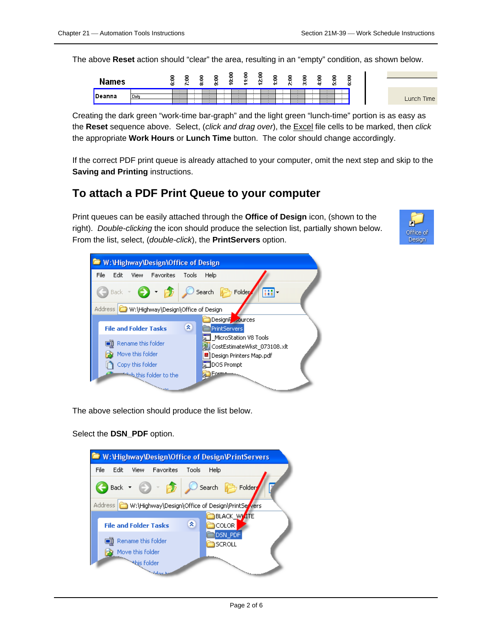The above **Reset** action should "clear" the area, resulting in an "empty" condition, as shown below.

| 0<br>0<br>$\cdots$<br><b>Names</b><br>$\cdot$ .<br><br>0<br>0<br>0<br>$\sim$<br>0<br>↽<br>$\cdots$<br>$\overline{\phantom{a}}$<br>$\ddot{\phantom{a}}$<br>$\ddot{ }$<br>$\cdot$<br>$\overline{\phantom{a}}$<br>$\overline{\phantom{a}}$<br>in.<br>$\sim$<br>ö.<br>-<br>-<br>-<br>$\overline{\phantom{a}}$ |
|-----------------------------------------------------------------------------------------------------------------------------------------------------------------------------------------------------------------------------------------------------------------------------------------------------------|
| Deanna<br>Dail                                                                                                                                                                                                                                                                                            |

Creating the dark green "work-time bar-graph" and the light green "lunch-time" portion is as easy as the **Reset** sequence above. Select, (*click and drag over*), the Excel file cells to be marked, then *click* the appropriate **Work Hours** or **Lunch Time** button. The color should change accordingly.

If the correct PDF print queue is already attached to your computer, omit the next step and skip to the **Saving and Printing** instructions.

#### **To attach a PDF Print Queue to your computer**

Print queues can be easily attached through the **Office of Design** icon, (shown to the right). *Double-clicking* the icon should produce the selection list, partially shown below. From the list, select, (*double-click*), the **PrintServers** option.





The above selection should produce the list below.

Select the **DSN\_PDF** option.

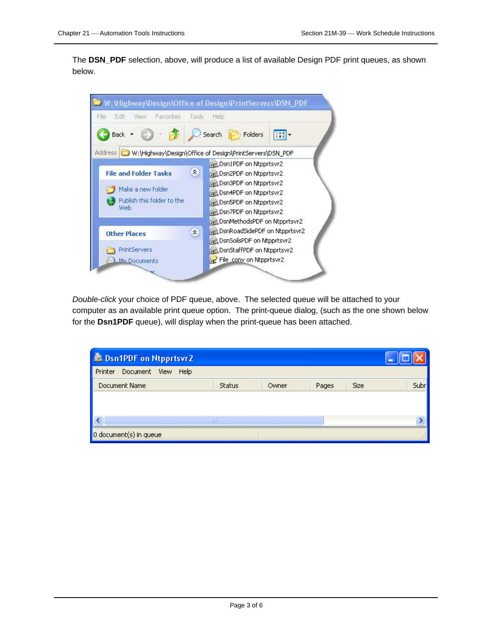The **DSN\_PDF** selection, above, will produce a list of available Design PDF print queues, as shown below.



*Double-click* your choice of PDF queue, above. The selected queue will be attached to your computer as an available print queue option. The print-queue dialog, (such as the one shown below for the **Dsn1PDF** queue), will display when the print-queue has been attached.

| <b>SE Dsn1PDF on Ntpprtsvr2</b> |               |       |       |             |       |
|---------------------------------|---------------|-------|-------|-------------|-------|
| Document View Help<br>Printer   |               |       |       |             |       |
| Document Name                   | <b>Status</b> | Owner | Pages | <b>Size</b> | Subrl |
|                                 |               |       |       |             |       |
|                                 |               |       |       |             |       |
|                                 | <b>TIII</b>   |       |       |             |       |
| 0 document(s) in queue          |               |       |       |             |       |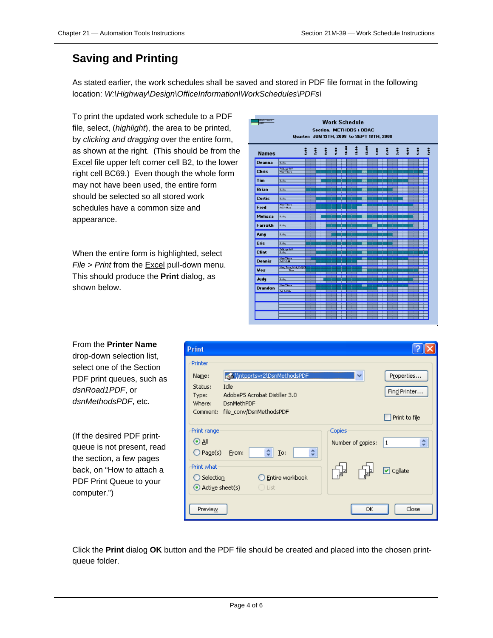# **Saving and Printing**

As stated earlier, the work schedules shall be saved and stored in PDF file format in the following location: *W:\Highway\Design\OfficeInformation\WorkSchedules\PDFs\* 

To print the updated work schedule to a PDF file, select, (*highlight*), the area to be printed, by *clicking and dragging* over the entire form, as shown at the right. (This should be from the Excel file upper left corner cell B2, to the lower right cell BC69.) Even though the whole form may not have been used, the entire form should be selected so all stored work schedules have a common size and appearance.

When the entire form is highlighted, select *File > Print* from the Excel pull-down menu. This should produce the **Print** dialog, as shown below.

| Wark Hauni<br>Culat<br><b>Work Schedule</b><br>Section: METHODS \ ODAC<br>Quarter: JUN 13TH, 2008 to SEPT 18TH, 2008 |                                           |   |    |        |  |   |           |  |   |     |     |   |
|----------------------------------------------------------------------------------------------------------------------|-------------------------------------------|---|----|--------|--|---|-----------|--|---|-----|-----|---|
| <b>Names</b>                                                                                                         |                                           | ŝ | ÷. | ÷<br>÷ |  | i | î<br>ises |  | š | ž:e | 青姜素 | ŝ |
| <b>Deanna</b>                                                                                                        | <b>Daily</b>                              |   |    |        |  |   |           |  |   |     |     |   |
| <b>Chris</b>                                                                                                         | <b>BOTH POWERFUL</b><br><b>Harrison</b>   |   |    |        |  |   |           |  |   |     |     |   |
| <b>Tim</b>                                                                                                           | ब्जा                                      |   |    |        |  |   |           |  |   |     |     |   |
| <b>Brian</b>                                                                                                         | <b>Daily</b>                              |   |    |        |  |   |           |  |   |     |     |   |
| <b>Curtis</b>                                                                                                        | <b>Daily</b>                              |   |    |        |  |   |           |  |   |     |     |   |
| Fred                                                                                                                 | <b>Harrison</b><br><b>Talentin</b>        |   |    |        |  |   |           |  |   |     |     |   |
| <b>Melissa</b>                                                                                                       | कार                                       |   |    |        |  |   |           |  |   |     |     |   |
| Farrokh                                                                                                              | <b>Daily</b>                              |   |    |        |  |   |           |  |   |     |     |   |
| Amy                                                                                                                  | <b>Daily</b>                              |   |    |        |  |   | т         |  | п |     |     |   |
| <b>Eric</b>                                                                                                          | <b>Daily</b>                              |   |    |        |  |   |           |  |   |     |     |   |
| <b>Clint</b>                                                                                                         | 100117-0022<br><b>Daily</b>               |   |    |        |  |   |           |  |   |     |     |   |
| <b>Dennis</b>                                                                                                        | <b>Hartford</b><br><b>ITHER I</b>         |   |    |        |  |   |           |  |   |     |     |   |
| Ves                                                                                                                  | <b>BEFORE FROM A PERSONAL SET</b><br>They |   |    |        |  |   |           |  |   |     |     |   |
| Judy                                                                                                                 | <b>Daily</b>                              |   |    |        |  |   |           |  |   |     |     |   |
| <b>Brandon</b>                                                                                                       | <b>Billian Corpora</b><br><b>TATALLA</b>  |   |    |        |  |   |           |  |   |     |     |   |
|                                                                                                                      |                                           |   |    |        |  |   |           |  |   |     |     |   |
|                                                                                                                      |                                           |   |    |        |  |   |           |  |   |     |     |   |
|                                                                                                                      |                                           |   |    |        |  |   |           |  |   |     |     |   |

From the **Printer Name** drop-down selection list, select one of the Section PDF print queues, such as *dsnRoad1PDF*, or *dsnMethodsPDF*, etc.

(If the desired PDF printqueue is not present, read the section, a few pages back, on "How to attach a PDF Print Queue to your computer.")

| <b>Print</b>               |                                                     |                          |               |
|----------------------------|-----------------------------------------------------|--------------------------|---------------|
| Printer                    |                                                     |                          |               |
| Name:                      | Multpprtsvr2\DsnMethodsPDF                          | ×                        | Properties    |
| Status:<br>Type:<br>Where: | Idle<br>AdobePS Acrobat Distiller 3.0<br>DsnMethPDF |                          | Find Printer  |
|                            | Comment: file_conv/DsnMethodsPDF                    |                          | Print to file |
| Print range                |                                                     | Copies                   |               |
| () all                     |                                                     | Number of copies:        | ÷<br>  1      |
| $\bigcirc$ Page(s)         | A.<br>¢<br>Io:<br>From:<br>v.                       |                          |               |
| Print what                 |                                                     |                          | ☑ Collate     |
| $\supset$ Selection        | Entire workbook                                     | $ 2^{3}$<br>$\mathbb{P}$ |               |
| $\odot$ Active sheet(s)    | ◯ List                                              |                          |               |
| Preview                    |                                                     | ОК                       | Close         |

Click the **Print** dialog **OK** button and the PDF file should be created and placed into the chosen printqueue folder.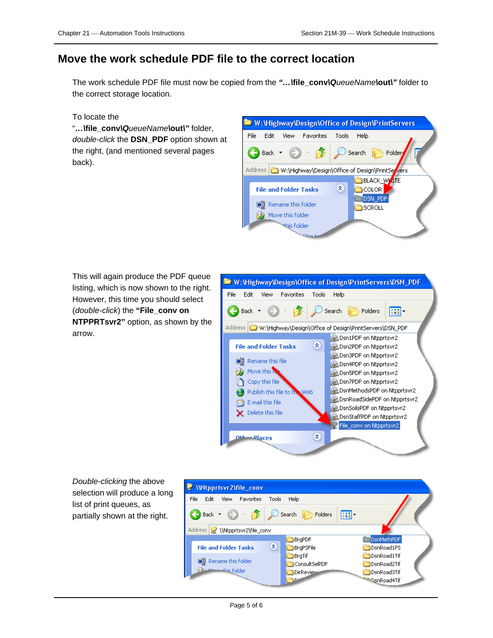### **Move the work schedule PDF file to the correct location**

The work schedule PDF file must now be copied from the *"…\***file\_conv***\QueueName\***out***\"* folder to the correct storage location.

#### To locate the

"*…\***file\_conv***\QueueName\***out***\"* folder, *double-click* the **DSN\_PDF** option shown at the right, (and mentioned several pages back).

|      |        |                    |                              |              |        | <b>E</b> W: Vighway Design Office of Design Print Servers       |  |
|------|--------|--------------------|------------------------------|--------------|--------|-----------------------------------------------------------------|--|
| File | Edit   | View               | <b>Favorites</b>             | <b>Tools</b> | Help   |                                                                 |  |
|      | Back - |                    | FБ                           |              | Search | Folder                                                          |  |
|      |        |                    |                              |              |        | Address <b>M</b> :\Highway\Design\Office of Design\PrintServers |  |
|      |        |                    |                              |              |        | <b>BLACK_WKITE</b>                                              |  |
|      |        |                    | <b>File and Folder Tasks</b> | ×            |        | COLOR                                                           |  |
|      |        |                    |                              |              |        | <b>DSN PDF</b>                                                  |  |
|      |        | Rename this folder |                              |              |        | SCROLL                                                          |  |
|      |        | Move this folder   |                              |              |        |                                                                 |  |
|      |        | this folder        |                              |              |        |                                                                 |  |
|      |        |                    | See Hork                     |              |        | $\overline{\phantom{0}}$                                        |  |

This will again produce the PDF queue listing, which is now shown to the right. However, this time you should select (*double-click*) the **"File\_conv on NTPPRTsvr2"** option, as shown by the arrow.



*Double-clicking* the above selection will produce a long list of print queues, as partially shown at the right.